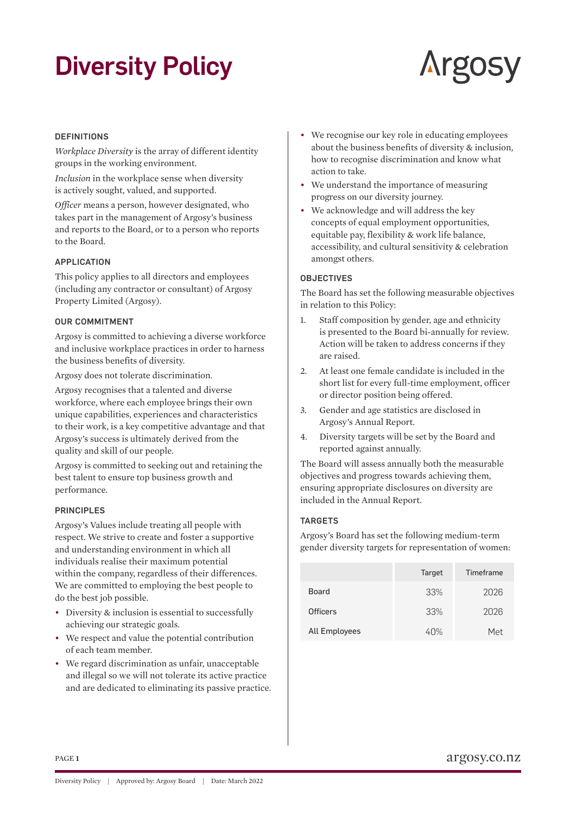## Diversity Policy

# **Argos**

#### DEFINITIONS

*Workplace Diversity* is the array of different identity groups in the working environment.

*Inclusion* in the workplace sense when diversity is actively sought, valued, and supported.

*Officer* means a person, however designated, who takes part in the management of Argosy's business and reports to the Board, or to a person who reports to the Board.

#### APPLICATION

This policy applies to all directors and employees (including any contractor or consultant) of Argosy Property Limited (Argosy).

#### OUR COMMITMENT

Argosy is committed to achieving a diverse workforce and inclusive workplace practices in order to harness the business benefits of diversity.

Argosy does not tolerate discrimination.

Argosy recognises that a talented and diverse workforce, where each employee brings their own unique capabilities, experiences and characteristics to their work, is a key competitive advantage and that Argosy's success is ultimately derived from the quality and skill of our people.

Argosy is committed to seeking out and retaining the best talent to ensure top business growth and performance.

#### PRINCIPLES

Argosy's Values include treating all people with respect. We strive to create and foster a supportive and understanding environment in which all individuals realise their maximum potential within the company, regardless of their differences. We are committed to employing the best people to do the best job possible.

- Diversity & inclusion is essential to successfully achieving our strategic goals.
- We respect and value the potential contribution of each team member.
- We regard discrimination as unfair, unacceptable and illegal so we will not tolerate its active practice and are dedicated to eliminating its passive practice.
- We recognise our key role in educating employees about the business benefits of diversity & inclusion, how to recognise discrimination and know what action to take.
- We understand the importance of measuring progress on our diversity journey.
- We acknowledge and will address the key concepts of equal employment opportunities, equitable pay, flexibility & work life balance, accessibility, and cultural sensitivity & celebration amongst others.

#### **OBJECTIVES**

The Board has set the following measurable objectives in relation to this Policy:

- 1. Staff composition by gender, age and ethnicity is presented to the Board bi-annually for review. Action will be taken to address concerns if they are raised.
- 2. At least one female candidate is included in the short list for every full-time employment, officer or director position being offered.
- 3. Gender and age statistics are disclosed in Argosy's Annual Report.
- 4. Diversity targets will be set by the Board and reported against annually.

The Board will assess annually both the measurable objectives and progress towards achieving them, ensuring appropriate disclosures on diversity are included in the Annual Report.

#### TARGETS

Argosy's Board has set the following medium-term gender diversity targets for representation of women:

|               | Target | Timeframe |
|---------------|--------|-----------|
| Board         | 33%    | 2026      |
| Officers      | 33%    | 2026      |
| All Employees | 40%    | Met       |